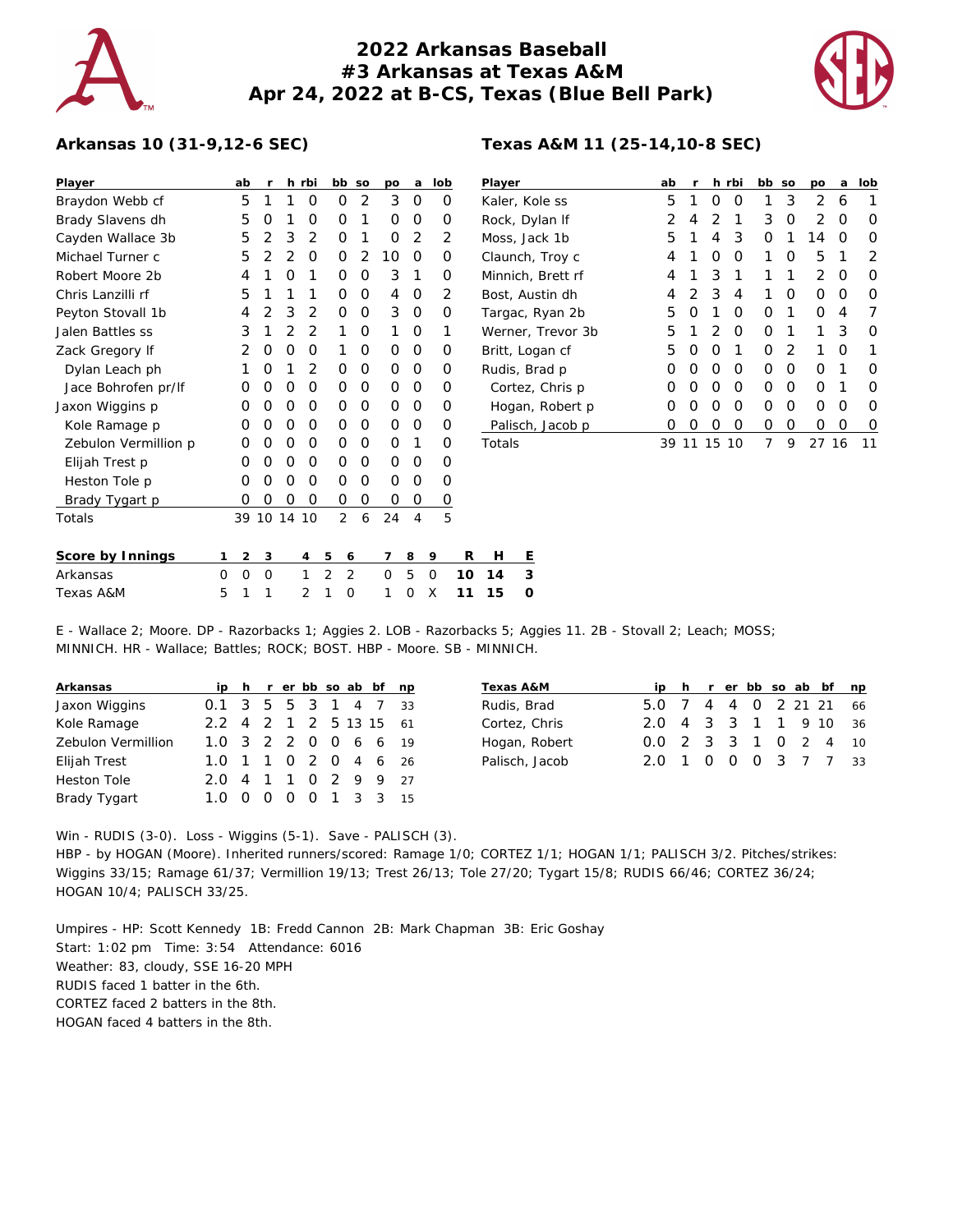

## **2022 Arkansas Baseball #3 Arkansas at Texas A&M Apr 24, 2022 at B-CS, Texas (Blue Bell Park)**



## **Arkansas 10 (31-9,12-6 SEC)**

| Player               | ab               | r              |                | h rbi          | bb             | <b>SO</b>      | po | a | lob |
|----------------------|------------------|----------------|----------------|----------------|----------------|----------------|----|---|-----|
| Braydon Webb cf      | 5                | 1              | 1              | O              | Ω              | 2              | 3  | Ο | Ω   |
| Brady Slavens dh     | 5                | Ω              | 1              | O              | Ω              | 1              | 0  | Ο | Ω   |
| Cayden Wallace 3b    | 5                | 2              | 3              | 2              | Ω              | 1              | 0  | 2 | 2   |
| Michael Turner c     | 5                | $\overline{2}$ | $\overline{2}$ | O              | Ω              | $\overline{2}$ | 10 | Ο | Ω   |
| Robert Moore 2b      | 4                | 1              | Ο              | 1              | Ω              | Ο              | 3  | 1 | Ω   |
| Chris Lanzilli rf    | 5                | 1              | 1              | 1              | Ω              | O              | 4  | Ο | 2   |
| Peyton Stovall 1b    | 4                | 2              | 3              | 2              | Ο              | O              | 3  | 0 | 0   |
| Jalen Battles ss     | 3                | 1              | 2              | $\overline{2}$ | 1              | O              | 1  | Ο | 1   |
| Zack Gregory If      | 2                | Ο              | O              | O              | 1              | O              | 0  | O | Ω   |
| Dylan Leach ph       | 1                | Ω              | 1              | 2              | Ω              | 0              | Ω  | Ο | Ω   |
| Jace Bohrofen pr/lf  | Ω                | Ω              | O              | O              | Ω              | 0              | Ω  | Ω | Ω   |
| Jaxon Wiggins p      | $\left( \right)$ | Ω              | O              | O              | Ω              | O              | Ω  | Ο | Ω   |
| Kole Ramage p        | Ω                | 0              | O              | O              | Ω              | O              | Ω  | Ο | Ω   |
| Zebulon Vermillion p | Ω                | Ο              | O              | O              | Ο              | O              | 0  | 1 | Ω   |
| Elijah Trest p       | Ω                | Ο              | O              | O              | Ο              | O              | 0  | Ο | 0   |
| Heston Tole p        | Ω                | Ω              | Ο              | Ο              | Ω              | Ο              | Ο  | Ο | Ω   |
| Brady Tygart p       | Ω                | 0              | 0              | O              | O              | 0              | 0  | 0 | 0   |
| Totals               | 39               | 10             | 14             | 10             | $\overline{2}$ | 6              | 24 | 4 | 5   |
|                      |                  |                |                |                |                |                |    |   |     |

| Player            | ab | r | h. | rbi | bb | SO       | po | a  | lob |
|-------------------|----|---|----|-----|----|----------|----|----|-----|
| Kaler, Kole ss    | 5  | 1 | Ο  | O   | 1  | 3        | 2  | 6  |     |
| Rock, Dylan If    | 2  | 4 | 2  | 1   | 3  | O        | 2  | Ω  | Ω   |
| Moss, Jack 1b     | 5  | 1 | 4  | 3   | Ο  | 1        | 14 | Ω  | Ω   |
| Claunch, Troy c   | 4  | 1 | Ω  | O   | 1  | Ω        | 5  | 1  | 2   |
| Minnich, Brett rf | 4  | 1 | 3  | 1   | 1  | 1        | 2  | O  | Ω   |
| Bost, Austin dh   | 4  | 2 | 3  | 4   | 1  | Ω        | Ω  | Ω  | Ω   |
| Targac, Ryan 2b   | 5  | O | 1  | Ω   | O  | 1        | Ω  | 4  |     |
| Werner, Trevor 3b | 5  | 1 | 2  | O   | Ο  | 1        | 1  | 3  | Ω   |
| Britt, Logan cf   | 5  | O | O  | 1   | Ω  | 2        | 1  | Ω  | 1   |
| Rudis, Brad p     | Ω  | O | O  | O   | Ο  | $\Omega$ | Ω  | 1  | O   |
| Cortez, Chris p   | Ω  | O | O  | O   | Ο  | O        | Ω  | 1  | Ω   |
| Hogan, Robert p   | 0  | O | Ω  | O   | Ο  | $\Omega$ | Ω  | Ω  | O   |
| Palisch, Jacob p  | Ω  | Ω | Ω  | Ω   | Ο  | 0        | Ω  | Ω  | Ω   |
| Totals            | 39 | 1 | 15 | 10  | 7  | 9        | 27 | 16 | 11  |

| Score by Innings $1\ 2\ 3\ 4\ 5\ 6\ 7\ 8\ 9\  \  \, R\  \  \, H\  \  \, E$ |  |  |                           |  |  |  |
|----------------------------------------------------------------------------|--|--|---------------------------|--|--|--|
| Arkansas                                                                   |  |  | 0 0 0 1 2 2 0 5 0 10 14 3 |  |  |  |
| Texas A&M                                                                  |  |  | 5 1 1 2 1 0 1 0 X 11 15 0 |  |  |  |

E - Wallace 2; Moore. DP - Razorbacks 1; Aggies 2. LOB - Razorbacks 5; Aggies 11. 2B - Stovall 2; Leach; MOSS; MINNICH. HR - Wallace; Battles; ROCK; BOST. HBP - Moore. SB - MINNICH.

| Arkansas           | ip                     |          |  |  | h r er bb so ab bf np |    |
|--------------------|------------------------|----------|--|--|-----------------------|----|
| Jaxon Wiggins      | 0.1 3 5 5 3 1 4 7 33   |          |  |  |                       |    |
| Kole Ramage        | 2.2 4 2 1 2 5 13 15 61 |          |  |  |                       |    |
| Zebulon Vermillion | 1.0 3 2 2 0 0 6 6 19   |          |  |  |                       |    |
| Elijah Trest       | 1.0 1 1 0 2 0 4 6 26   |          |  |  |                       |    |
| <b>Heston Tole</b> | 2 O                    |          |  |  | 4 1 1 0 2 9 9 27      |    |
| Brady Tygart       |                        | $\Omega$ |  |  | 0 0 1 3 3             | 15 |

| Texas A&M      |                        |  |  |  | ip h r er bb so ab bf np |  |
|----------------|------------------------|--|--|--|--------------------------|--|
| Rudis, Brad    | 5.0 7 4 4 0 2 21 21 66 |  |  |  |                          |  |
| Cortez, Chris  | 2.0 4 3 3 1 1 9 10 36  |  |  |  |                          |  |
| Hogan, Robert  | 0.0 2 3 3 1 0 2 4 10   |  |  |  |                          |  |
| Palisch, Jacob | 2.0 1 0 0 0 3 7 7 33   |  |  |  |                          |  |

Win - RUDIS (3-0). Loss - Wiggins (5-1). Save - PALISCH (3). HBP - by HOGAN (Moore). Inherited runners/scored: Ramage 1/0; CORTEZ 1/1; HOGAN 1/1; PALISCH 3/2. Pitches/strikes: Wiggins 33/15; Ramage 61/37; Vermillion 19/13; Trest 26/13; Tole 27/20; Tygart 15/8; RUDIS 66/46; CORTEZ 36/24; HOGAN 10/4; PALISCH 33/25.

Umpires - HP: Scott Kennedy 1B: Fredd Cannon 2B: Mark Chapman 3B: Eric Goshay Start: 1:02 pm Time: 3:54 Attendance: 6016 Weather: 83, cloudy, SSE 16-20 MPH RUDIS faced 1 batter in the 6th. CORTEZ faced 2 batters in the 8th. HOGAN faced 4 batters in the 8th.

## **Texas A&M 11 (25-14,10-8 SEC)**